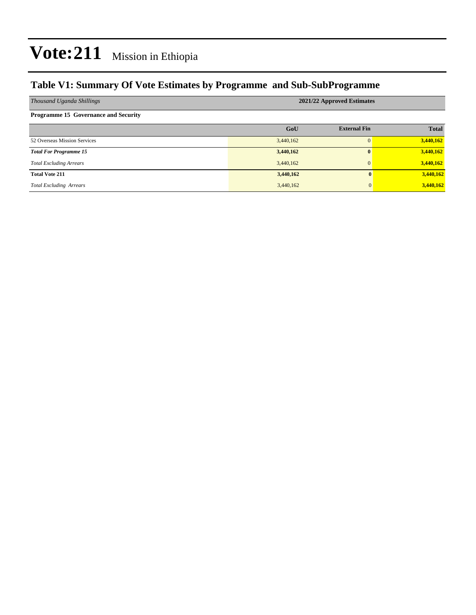### **Table V1: Summary Of Vote Estimates by Programme and Sub-SubProgramme**

| Thousand Uganda Shillings                   | 2021/22 Approved Estimates |                     |              |  |  |  |  |
|---------------------------------------------|----------------------------|---------------------|--------------|--|--|--|--|
| <b>Programme 15 Governance and Security</b> |                            |                     |              |  |  |  |  |
|                                             | GoU                        | <b>External Fin</b> | <b>Total</b> |  |  |  |  |
| 52 Overseas Mission Services                | 3,440,162                  | $\Omega$            | 3,440,162    |  |  |  |  |
| <b>Total For Programme 15</b>               | 3,440,162                  | $\mathbf{0}$        | 3,440,162    |  |  |  |  |
| <b>Total Excluding Arrears</b>              | 3,440,162                  | $\mathbf{0}$        | 3,440,162    |  |  |  |  |
| <b>Total Vote 211</b>                       | 3,440,162                  | 0                   | 3,440,162    |  |  |  |  |
| <b>Total Excluding Arrears</b>              | 3,440,162                  | 0                   | 3,440,162    |  |  |  |  |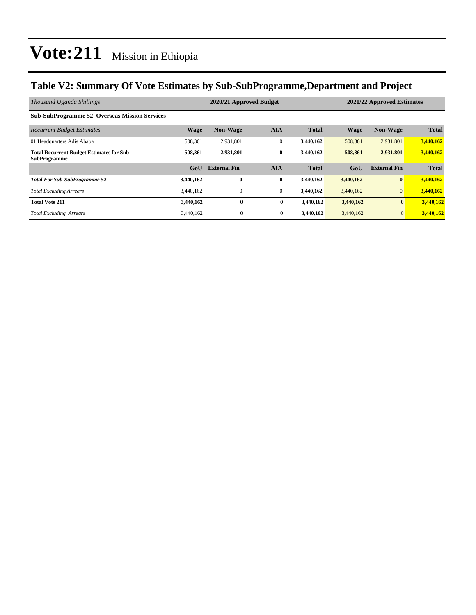### **Table V2: Summary Of Vote Estimates by Sub-SubProgramme,Department and Project**

| Thousand Uganda Shillings                                               | 2020/21 Approved Budget |                     |              |              |             | 2021/22 Approved Estimates |              |  |
|-------------------------------------------------------------------------|-------------------------|---------------------|--------------|--------------|-------------|----------------------------|--------------|--|
| <b>Sub-SubProgramme 52 Overseas Mission Services</b>                    |                         |                     |              |              |             |                            |              |  |
| <b>Recurrent Budget Estimates</b>                                       | <b>Wage</b>             | <b>Non-Wage</b>     | <b>AIA</b>   | <b>Total</b> | <b>Wage</b> | <b>Non-Wage</b>            | <b>Total</b> |  |
| 01 Headquarters Adis Ababa                                              | 508,361                 | 2,931,801           | $\mathbf{0}$ | 3,440,162    | 508,361     | 2,931,801                  | 3,440,162    |  |
| <b>Total Recurrent Budget Estimates for Sub-</b><br><b>SubProgramme</b> | 508,361                 | 2,931,801           | $\bf{0}$     | 3,440,162    | 508,361     | 2,931,801                  | 3,440,162    |  |
|                                                                         | G <sub>0</sub> U        | <b>External Fin</b> | <b>AIA</b>   | <b>Total</b> | GoU         | <b>External Fin</b>        | <b>Total</b> |  |
| <b>Total For Sub-SubProgramme 52</b>                                    | 3,440,162               | $\bf{0}$            | $\bf{0}$     | 3,440,162    | 3,440,162   | $\bf{0}$                   | 3,440,162    |  |
| <b>Total Excluding Arrears</b>                                          | 3.440.162               | $\mathbf{0}$        | $\mathbf{0}$ | 3,440,162    | 3,440,162   | $\overline{0}$             | 3,440,162    |  |
| <b>Total Vote 211</b>                                                   | 3,440,162               | $\bf{0}$            | $\bf{0}$     | 3,440,162    | 3,440,162   | $\mathbf{0}$               | 3,440,162    |  |
| <b>Total Excluding Arrears</b>                                          | 3,440,162               | $\mathbf{0}$        | $\mathbf{0}$ | 3,440,162    | 3,440,162   | $\mathbf{0}$               | 3,440,162    |  |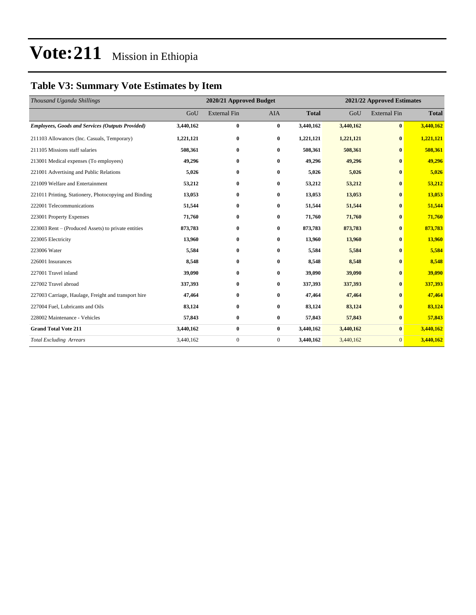## **Table V3: Summary Vote Estimates by Item**

| Thousand Uganda Shillings                               |           | 2020/21 Approved Budget |              |              |           | 2021/22 Approved Estimates |              |  |
|---------------------------------------------------------|-----------|-------------------------|--------------|--------------|-----------|----------------------------|--------------|--|
|                                                         | GoU       | <b>External Fin</b>     | <b>AIA</b>   | <b>Total</b> | GoU       | <b>External Fin</b>        | <b>Total</b> |  |
| <b>Employees, Goods and Services (Outputs Provided)</b> | 3,440,162 | $\bf{0}$                | $\bf{0}$     | 3,440,162    | 3,440,162 | $\bf{0}$                   | 3,440,162    |  |
| 211103 Allowances (Inc. Casuals, Temporary)             | 1,221,121 | $\bf{0}$                | $\bf{0}$     | 1,221,121    | 1,221,121 | $\mathbf{0}$               | 1,221,121    |  |
| 211105 Missions staff salaries                          | 508,361   | $\bf{0}$                | $\bf{0}$     | 508,361      | 508,361   | $\bf{0}$                   | 508,361      |  |
| 213001 Medical expenses (To employees)                  | 49,296    | $\bf{0}$                | $\mathbf{0}$ | 49,296       | 49,296    | $\mathbf{0}$               | 49,296       |  |
| 221001 Advertising and Public Relations                 | 5,026     | $\bf{0}$                | $\mathbf{0}$ | 5,026        | 5,026     | $\mathbf{0}$               | 5,026        |  |
| 221009 Welfare and Entertainment                        | 53,212    | $\bf{0}$                | $\bf{0}$     | 53,212       | 53,212    | $\bf{0}$                   | 53,212       |  |
| 221011 Printing, Stationery, Photocopying and Binding   | 13,053    | $\bf{0}$                | $\bf{0}$     | 13,053       | 13,053    | $\bf{0}$                   | 13,053       |  |
| 222001 Telecommunications                               | 51,544    | $\bf{0}$                | $\mathbf{0}$ | 51,544       | 51,544    | $\mathbf{0}$               | 51,544       |  |
| 223001 Property Expenses                                | 71,760    | $\bf{0}$                | $\bf{0}$     | 71,760       | 71,760    | $\bf{0}$                   | 71,760       |  |
| 223003 Rent – (Produced Assets) to private entities     | 873,783   | $\bf{0}$                | $\bf{0}$     | 873,783      | 873,783   | $\bf{0}$                   | 873,783      |  |
| 223005 Electricity                                      | 13,960    | $\bf{0}$                | $\bf{0}$     | 13,960       | 13,960    | $\mathbf{0}$               | 13,960       |  |
| 223006 Water                                            | 5,584     | $\bf{0}$                | $\bf{0}$     | 5,584        | 5,584     | $\bf{0}$                   | 5,584        |  |
| 226001 Insurances                                       | 8,548     | $\bf{0}$                | $\bf{0}$     | 8,548        | 8,548     | $\bf{0}$                   | 8,548        |  |
| 227001 Travel inland                                    | 39,090    | $\bf{0}$                | $\bf{0}$     | 39,090       | 39,090    | $\mathbf{0}$               | 39,090       |  |
| 227002 Travel abroad                                    | 337,393   | $\bf{0}$                | $\bf{0}$     | 337,393      | 337,393   | $\bf{0}$                   | 337,393      |  |
| 227003 Carriage, Haulage, Freight and transport hire    | 47,464    | $\bf{0}$                | $\bf{0}$     | 47,464       | 47,464    | $\bf{0}$                   | 47,464       |  |
| 227004 Fuel, Lubricants and Oils                        | 83,124    | $\bf{0}$                | $\bf{0}$     | 83,124       | 83,124    | $\mathbf{0}$               | 83,124       |  |
| 228002 Maintenance - Vehicles                           | 57,843    | $\bf{0}$                | $\bf{0}$     | 57,843       | 57,843    | $\mathbf{0}$               | 57,843       |  |
| <b>Grand Total Vote 211</b>                             | 3,440,162 | $\bf{0}$                | $\bf{0}$     | 3,440,162    | 3,440,162 | $\bf{0}$                   | 3,440,162    |  |
| <b>Total Excluding Arrears</b>                          | 3,440,162 | $\boldsymbol{0}$        | $\mathbf{0}$ | 3,440,162    | 3,440,162 | $\mathbf{0}$               | 3,440,162    |  |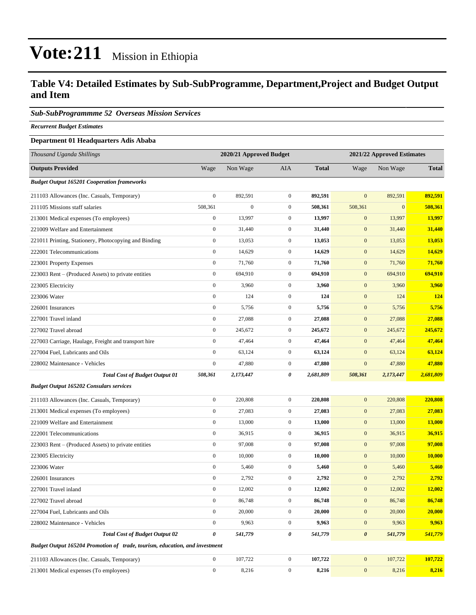#### **Table V4: Detailed Estimates by Sub-SubProgramme, Department,Project and Budget Output and Item**

#### *Sub-SubProgrammme 52 Overseas Mission Services*

*Recurrent Budget Estimates*

#### **Department 01 Headquarters Adis Ababa**

| Thousand Uganda Shillings                                                   | 2020/21 Approved Budget |                  |                  | 2021/22 Approved Estimates |                       |              |               |
|-----------------------------------------------------------------------------|-------------------------|------------------|------------------|----------------------------|-----------------------|--------------|---------------|
| <b>Outputs Provided</b>                                                     | Wage                    | Non Wage         | AIA              | <b>Total</b>               | Wage                  | Non Wage     | <b>Total</b>  |
| <b>Budget Output 165201 Cooperation frameworks</b>                          |                         |                  |                  |                            |                       |              |               |
| 211103 Allowances (Inc. Casuals, Temporary)                                 | $\boldsymbol{0}$        | 892,591          | $\overline{0}$   | 892,591                    | $\mathbf{0}$          | 892,591      | 892,591       |
| 211105 Missions staff salaries                                              | 508,361                 | $\boldsymbol{0}$ | $\overline{0}$   | 508,361                    | 508,361               | $\mathbf{0}$ | 508,361       |
| 213001 Medical expenses (To employees)                                      | $\boldsymbol{0}$        | 13,997           | $\mathbf{0}$     | 13,997                     | $\mathbf{0}$          | 13,997       | 13,997        |
| 221009 Welfare and Entertainment                                            | $\boldsymbol{0}$        | 31,440           | $\boldsymbol{0}$ | 31,440                     | $\mathbf{0}$          | 31,440       | 31,440        |
| 221011 Printing, Stationery, Photocopying and Binding                       | $\boldsymbol{0}$        | 13,053           | $\boldsymbol{0}$ | 13,053                     | $\mathbf{0}$          | 13,053       | 13,053        |
| 222001 Telecommunications                                                   | $\boldsymbol{0}$        | 14,629           | $\overline{0}$   | 14,629                     | $\mathbf{0}$          | 14,629       | 14,629        |
| 223001 Property Expenses                                                    | $\boldsymbol{0}$        | 71,760           | $\overline{0}$   | 71,760                     | $\mathbf{0}$          | 71,760       | 71,760        |
| 223003 Rent - (Produced Assets) to private entities                         | $\boldsymbol{0}$        | 694,910          | $\mathbf{0}$     | 694,910                    | $\mathbf{0}$          | 694,910      | 694,910       |
| 223005 Electricity                                                          | $\boldsymbol{0}$        | 3,960            | $\boldsymbol{0}$ | 3,960                      | $\mathbf{0}$          | 3,960        | 3,960         |
| 223006 Water                                                                | $\boldsymbol{0}$        | 124              | $\boldsymbol{0}$ | 124                        | $\mathbf{0}$          | 124          | 124           |
| 226001 Insurances                                                           | $\boldsymbol{0}$        | 5,756            | $\boldsymbol{0}$ | 5,756                      | $\mathbf{0}$          | 5,756        | 5,756         |
| 227001 Travel inland                                                        | $\boldsymbol{0}$        | 27,088           | $\overline{0}$   | 27,088                     | $\mathbf{0}$          | 27,088       | 27,088        |
| 227002 Travel abroad                                                        | $\boldsymbol{0}$        | 245,672          | $\mathbf{0}$     | 245,672                    | $\mathbf{0}$          | 245,672      | 245,672       |
| 227003 Carriage, Haulage, Freight and transport hire                        | $\boldsymbol{0}$        | 47,464           | $\boldsymbol{0}$ | 47,464                     | $\mathbf{0}$          | 47,464       | 47,464        |
| 227004 Fuel, Lubricants and Oils                                            | $\boldsymbol{0}$        | 63,124           | $\boldsymbol{0}$ | 63,124                     | $\mathbf{0}$          | 63,124       | 63,124        |
| 228002 Maintenance - Vehicles                                               | $\boldsymbol{0}$        | 47,880           | $\boldsymbol{0}$ | 47,880                     | $\mathbf{0}$          | 47,880       | 47,880        |
| <b>Total Cost of Budget Output 01</b>                                       | 508,361                 | 2,173,447        | 0                | 2,681,809                  | 508,361               | 2,173,447    | 2,681,809     |
| <b>Budget Output 165202 Consulars services</b>                              |                         |                  |                  |                            |                       |              |               |
| 211103 Allowances (Inc. Casuals, Temporary)                                 | $\boldsymbol{0}$        | 220,808          | $\boldsymbol{0}$ | 220,808                    | $\mathbf{0}$          | 220,808      | 220,808       |
| 213001 Medical expenses (To employees)                                      | $\boldsymbol{0}$        | 27,083           | $\mathbf{0}$     | 27,083                     | $\mathbf{0}$          | 27,083       | 27,083        |
| 221009 Welfare and Entertainment                                            | $\boldsymbol{0}$        | 13,000           | $\boldsymbol{0}$ | 13,000                     | $\mathbf{0}$          | 13,000       | <b>13,000</b> |
| 222001 Telecommunications                                                   | $\boldsymbol{0}$        | 36,915           | $\overline{0}$   | 36,915                     | $\mathbf{0}$          | 36,915       | 36,915        |
| 223003 Rent – (Produced Assets) to private entities                         | $\boldsymbol{0}$        | 97,008           | $\boldsymbol{0}$ | 97,008                     | $\mathbf{0}$          | 97,008       | 97,008        |
| 223005 Electricity                                                          | $\boldsymbol{0}$        | 10,000           | $\boldsymbol{0}$ | 10,000                     | $\mathbf{0}$          | 10,000       | 10,000        |
| 223006 Water                                                                | $\boldsymbol{0}$        | 5,460            | $\mathbf{0}$     | 5,460                      | $\mathbf{0}$          | 5,460        | 5,460         |
| 226001 Insurances                                                           | $\boldsymbol{0}$        | 2,792            | $\mathbf{0}$     | 2,792                      | $\mathbf{0}$          | 2,792        | 2,792         |
| 227001 Travel inland                                                        | $\boldsymbol{0}$        | 12,002           | $\mathbf{0}$     | 12,002                     | $\mathbf{0}$          | 12,002       | 12,002        |
| 227002 Travel abroad                                                        | $\boldsymbol{0}$        | 86,748           | $\boldsymbol{0}$ | 86,748                     | $\mathbf{0}$          | 86,748       | 86,748        |
| 227004 Fuel, Lubricants and Oils                                            | $\boldsymbol{0}$        | 20,000           | $\boldsymbol{0}$ | 20,000                     | $\mathbf{0}$          | 20,000       | 20,000        |
| 228002 Maintenance - Vehicles                                               | $\mathbf{0}$            | 9,963            | $\boldsymbol{0}$ | 9,963                      | $\bf{0}$              | 9,963        | 9,963         |
| <b>Total Cost of Budget Output 02</b>                                       | 0                       | 541,779          | 0                | 541,779                    | $\boldsymbol{\theta}$ | 541,779      | 541,779       |
| Budget Output 165204 Promotion of trade, tourism, education, and investment |                         |                  |                  |                            |                       |              |               |
| 211103 Allowances (Inc. Casuals, Temporary)                                 | $\mathbf{0}$            | 107,722          | $\boldsymbol{0}$ | 107,722                    | $\mathbf{0}$          | 107,722      | 107,722       |
| 213001 Medical expenses (To employees)                                      | $\boldsymbol{0}$        | 8,216            | $\boldsymbol{0}$ | 8,216                      | $\boldsymbol{0}$      | 8,216        | 8,216         |